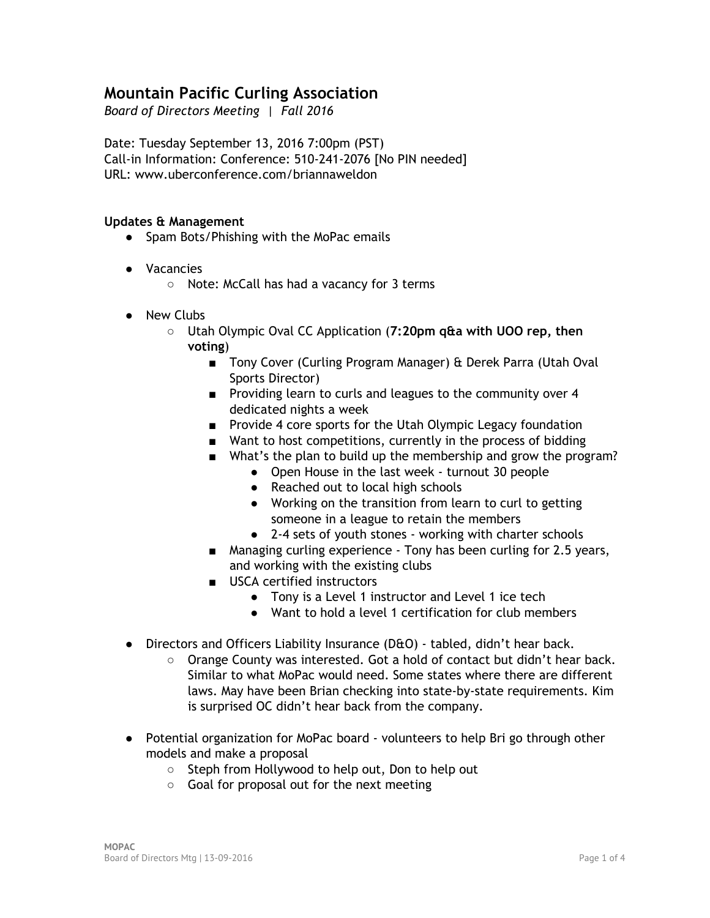# **Mountain Pacific Curling Association**

*Board of Directors Meeting | Fall 2016*

Date: Tuesday September 13, 2016 7:00pm (PST) Call‐in Information: Conference: 510‐241‐2076 [No PIN needed] URL: www.uberconference.com/briannaweldon

#### **Updates & Management**

- Spam Bots/Phishing with the MoPac emails
- Vacancies
	- Note: McCall has had a vacancy for 3 terms
- New Clubs
	- Utah Olympic Oval CC Application (**7:20pm q&a with UOO rep, then voting**)
		- Tony Cover (Curling Program Manager) & Derek Parra (Utah Oval Sports Director)
		- Providing learn to curls and leagues to the community over 4 dedicated nights a week
		- Provide 4 core sports for the Utah Olympic Legacy foundation
		- Want to host competitions, currently in the process of bidding
		- What's the plan to build up the membership and grow the program?
			- Open House in the last week turnout 30 people
				- Reached out to local high schools
				- Working on the transition from learn to curl to getting someone in a league to retain the members
				- 2-4 sets of youth stones working with charter schools
		- Managing curling experience Tony has been curling for 2.5 years, and working with the existing clubs
		- USCA certified instructors
			- Tony is a Level 1 instructor and Level 1 ice tech
			- Want to hold a level 1 certification for club members
- Directors and Officers Liability Insurance (D&O) tabled, didn't hear back.
	- Orange County was interested. Got a hold of contact but didn't hear back. Similar to what MoPac would need. Some states where there are different laws. May have been Brian checking into state‐by‐state requirements. Kim is surprised OC didn't hear back from the company.
- Potential organization for MoPac board volunteers to help Bri go through other models and make a proposal
	- Steph from Hollywood to help out, Don to help out
	- Goal for proposal out for the next meeting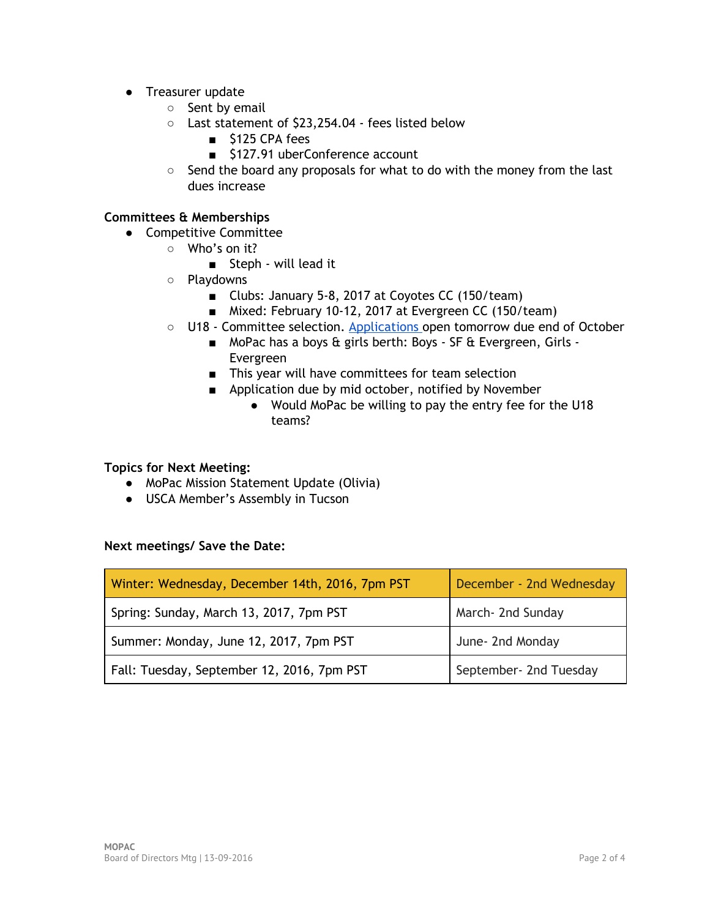- Treasurer update
	- Sent by email
	- Last statement of \$23,254.04 ‐ fees listed below
		- \$125 CPA fees
		- \$127.91 uberConference account
	- Send the board any proposals for what to do with the money from the last dues increase

### **Committees & Memberships**

- Competitive Committee
	- Who's on it?
		- Steph will lead it
	- Playdowns
		- Clubs: January 5-8, 2017 at Coyotes CC (150/team)
		- Mixed: February 10-12, 2017 at Evergreen CC (150/team)
	- U18 Committee selection. [Applications](https://drive.google.com/open?id=0B6Mw7xMjRpU6UHlScXVOQ29JZmc) open tomorrow due end of October
		- MoPac has a boys & girls berth: Boys SF & Evergreen, Girls -Evergreen
		- This year will have committees for team selection
		- Application due by mid october, notified by November
			- Would MoPac be willing to pay the entry fee for the U18 teams?

#### **Topics for Next Meeting:**

- MoPac Mission Statement Update (Olivia)
- USCA Member's Assembly in Tucson

#### **Next meetings/ Save the Date:**

| Winter: Wednesday, December 14th, 2016, 7pm PST | December - 2nd Wednesday |
|-------------------------------------------------|--------------------------|
| Spring: Sunday, March 13, 2017, 7pm PST         | March- 2nd Sunday        |
| Summer: Monday, June 12, 2017, 7pm PST          | June- 2nd Monday         |
| Fall: Tuesday, September 12, 2016, 7pm PST      | September- 2nd Tuesday   |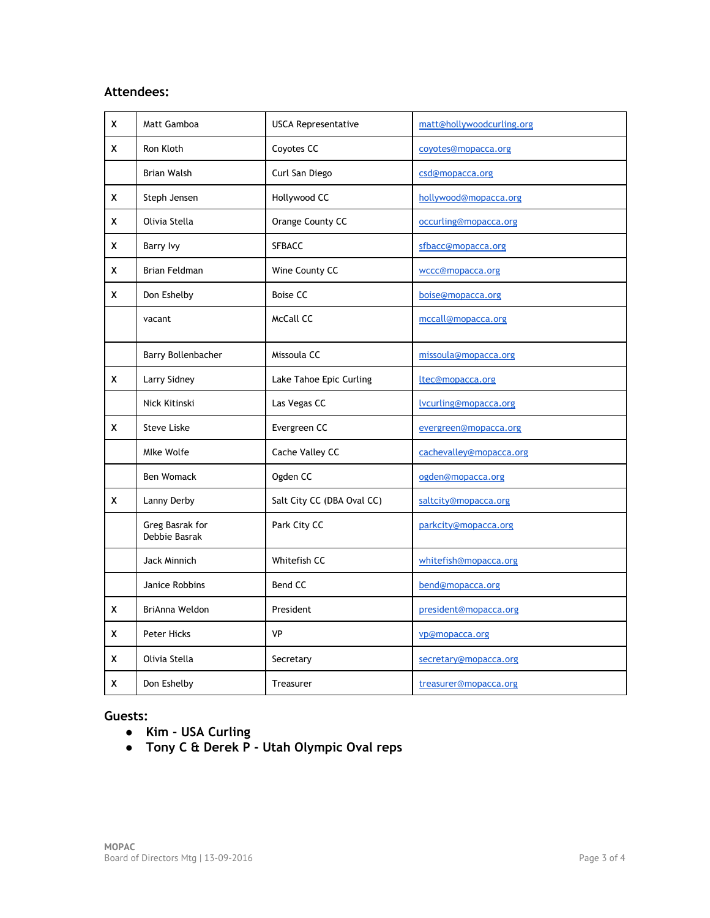### **Attendees:**

| x | Matt Gamboa                      | <b>USCA Representative</b> | matt@hollywoodcurling.org |
|---|----------------------------------|----------------------------|---------------------------|
| x | Ron Kloth                        | Coyotes CC                 | coyotes@mopacca.org       |
|   | <b>Brian Walsh</b>               | Curl San Diego             | csd@mopacca.org           |
| X | Steph Jensen                     | Hollywood CC               | hollywood@mopacca.org     |
| X | Olivia Stella                    | Orange County CC           | occurling@mopacca.org     |
| X | Barry Ivy                        | <b>SFBACC</b>              | sfbacc@mopacca.org        |
| x | Brian Feldman                    | Wine County CC             | wccc@mopacca.org          |
| x | Don Eshelby                      | <b>Boise CC</b>            | boise@mopacca.org         |
|   | vacant                           | McCall CC                  | mccall@mopacca.org        |
|   | Barry Bollenbacher               | Missoula CC                | missoula@mopacca.org      |
| x | Larry Sidney                     | Lake Tahoe Epic Curling    | ltec@mopacca.org          |
|   | Nick Kitinski                    | Las Vegas CC               | lvcurling@mopacca.org     |
| X | <b>Steve Liske</b>               | Evergreen CC               | evergreen@mopacca.org     |
|   | Mlke Wolfe                       | Cache Valley CC            | cachevalley@mopacca.org   |
|   | <b>Ben Womack</b>                | Ogden CC                   | ogden@mopacca.org         |
| x | Lanny Derby                      | Salt City CC (DBA Oval CC) | saltcity@mopacca.org      |
|   | Greg Basrak for<br>Debbie Basrak | Park City CC               | parkcity@mopacca.org      |
|   | Jack Minnich                     | Whitefish CC               | whitefish@mopacca.org     |
|   | Janice Robbins                   | Bend CC                    | bend@mopacca.org          |
| x | BriAnna Weldon                   | President                  | president@mopacca.org     |
| x | Peter Hicks                      | <b>VP</b>                  | vp@mopacca.org            |
| x | Olivia Stella                    | Secretary                  | secretary@mopacca.org     |
| X | Don Eshelby                      | Treasurer                  | treasurer@mopacca.org     |

### **Guests:**

- **● Kim ‐ USA Curling**
- **● Tony C & Derek P ‐ Utah Olympic Oval reps**